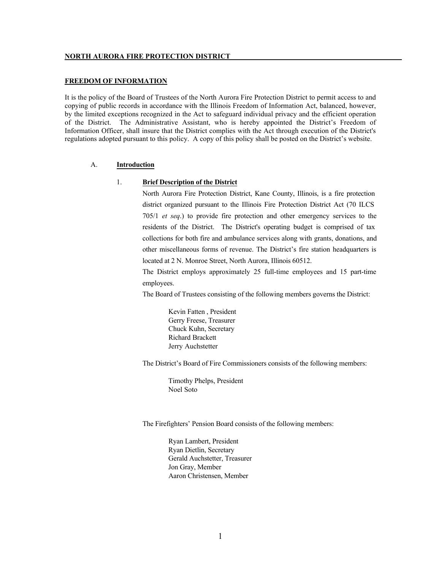#### **FREEDOM OF INFORMATION**

It is the policy of the Board of Trustees of the North Aurora Fire Protection District to permit access to and copying of public records in accordance with the Illinois Freedom of Information Act, balanced, however, by the limited exceptions recognized in the Act to safeguard individual privacy and the efficient operation of the District. The Administrative Assistant, who is hereby appointed the District's Freedom of Information Officer, shall insure that the District complies with the Act through execution of the District's regulations adopted pursuant to this policy. A copy of this policy shall be posted on the District's website.

### A. **Introduction**

### 1. **Brief Description of the District**

North Aurora Fire Protection District, Kane County, Illinois, is a fire protection district organized pursuant to the Illinois Fire Protection District Act (70 ILCS 705/1 *et seq*.) to provide fire protection and other emergency services to the residents of the District. The District's operating budget is comprised of tax collections for both fire and ambulance services along with grants, donations, and other miscellaneous forms of revenue. The District's fire station headquarters is located at 2 N. Monroe Street, North Aurora, Illinois 60512.

The District employs approximately 25 full-time employees and 15 part-time employees.

The Board of Trustees consisting of the following members governs the District:

Kevin Fatten , President Gerry Freese, Treasurer Chuck Kuhn, Secretary Richard Brackett Jerry Auchstetter

The District's Board of Fire Commissioners consists of the following members:

Timothy Phelps, President Noel Soto

The Firefighters' Pension Board consists of the following members:

Ryan Lambert, President Ryan Dietlin, Secretary Gerald Auchstetter, Treasurer Jon Gray, Member Aaron Christensen, Member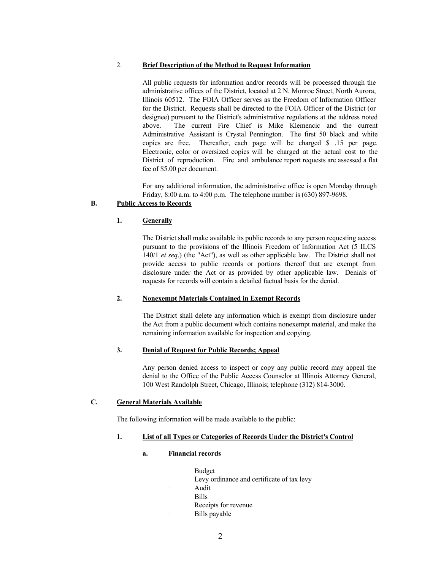## 2. **Brief Description of the Method to Request Information**

All public requests for information and/or records will be processed through the administrative offices of the District, located at 2 N. Monroe Street, North Aurora, Illinois 60512. The FOIA Officer serves as the Freedom of Information Officer for the District. Requests shall be directed to the FOIA Officer of the District (or designee) pursuant to the District's administrative regulations at the address noted above. The current Fire Chief is Mike Klemencic and the current Administrative Assistant is Crystal Pennington. The first 50 black and white copies are free. Thereafter, each page will be charged \$ .15 per page. Electronic, color or oversized copies will be charged at the actual cost to the District of reproduction. Fire and ambulance report requests are assessed a flat fee of \$5.00 per document.

For any additional information, the administrative office is open Monday through Friday, 8:00 a.m. to 4:00 p.m. The telephone number is (630) 897-9698.

# **B. Public Access to Records**

# **1. Generally**

The District shall make available its public records to any person requesting access pursuant to the provisions of the Illinois Freedom of Information Act (5 ILCS 140/1 *et seq*.) (the "Act"), as well as other applicable law. The District shall not provide access to public records or portions thereof that are exempt from disclosure under the Act or as provided by other applicable law. Denials of requests for records will contain a detailed factual basis for the denial.

## **2. Nonexempt Materials Contained in Exempt Records**

The District shall delete any information which is exempt from disclosure under the Act from a public document which contains nonexempt material, and make the remaining information available for inspection and copying.

# **3. Denial of Request for Public Records; Appeal**

Any person denied access to inspect or copy any public record may appeal the denial to the Office of the Public Access Counselor at Illinois Attorney General, 100 West Randolph Street, Chicago, Illinois; telephone (312) 814-3000.

## **C. General Materials Available**

The following information will be made available to the public:

## **1. List of all Types or Categories of Records Under the District's Control**

## **a. Financial records**

- . Budget
	- . Levy ordinance and certificate of tax levy
	- . Audit
	- . Bills
	- . Receipts for revenue
	- . Bills payable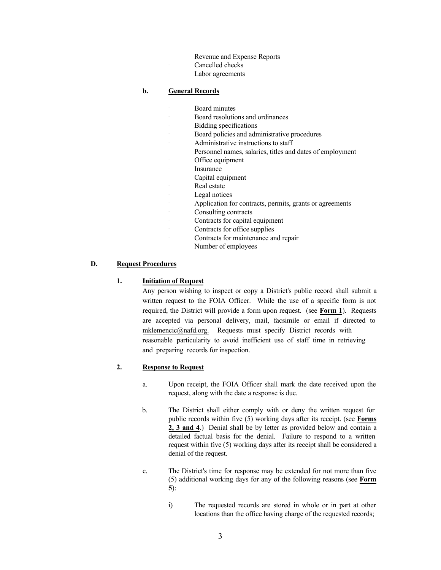- Revenue and Expense Reports
- . Cancelled checks
- . Labor agreements

## **b. General Records**

- . Board minutes
- . Board resolutions and ordinances
- . Bidding specifications
- . Board policies and administrative procedures
- . Administrative instructions to staff
- . Personnel names, salaries, titles and dates of employment
- . Office equipment
- . Insurance
- . Capital equipment
- Real estate
- . Legal notices
	- . Application for contracts, permits, grants or agreements . Consulting contracts
- 
- . Contracts for capital equipment
- . Contracts for office supplies
- . Contracts for maintenance and repair
	- . Number of employees

### **D. Request Procedures**

### **1. Initiation of Request**

Any person wishing to inspect or copy a District's public record shall submit a written request to the FOIA Officer. While the use of a specific form is not required, the District will provide a form upon request. (see **Form 1**). Requests are accepted via personal delivery, mail, facsimile or email if directed to mklemencic@nafd.org. Requests must specify District records with reasonable particularity to avoid inefficient use of staff time in retrieving and preparing records for inspection.

#### **2. Response to Request**

- a. Upon receipt, the FOIA Officer shall mark the date received upon the request, along with the date a response is due.
- b. The District shall either comply with or deny the written request for public records within five (5) working days after its receipt. (see **Forms 2, 3 and 4**.) Denial shall be by letter as provided below and contain a detailed factual basis for the denial. Failure to respond to a written request within five (5) working days after its receipt shall be considered a denial of the request.
- c. The District's time for response may be extended for not more than five (5) additional working days for any of the following reasons (see **Form 5**):
	- i) The requested records are stored in whole or in part at other locations than the office having charge of the requested records;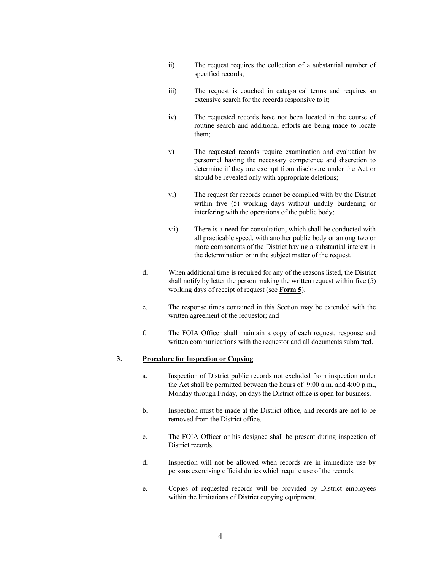- ii) The request requires the collection of a substantial number of specified records;
- iii) The request is couched in categorical terms and requires an extensive search for the records responsive to it;
- iv) The requested records have not been located in the course of routine search and additional efforts are being made to locate them;
- v) The requested records require examination and evaluation by personnel having the necessary competence and discretion to determine if they are exempt from disclosure under the Act or should be revealed only with appropriate deletions;
- vi) The request for records cannot be complied with by the District within five (5) working days without unduly burdening or interfering with the operations of the public body;
- vii) There is a need for consultation, which shall be conducted with all practicable speed, with another public body or among two or more components of the District having a substantial interest in the determination or in the subject matter of the request.
- d. When additional time is required for any of the reasons listed, the District shall notify by letter the person making the written request within five (5) working days of receipt of request (see **Form 5**).
- e. The response times contained in this Section may be extended with the written agreement of the requestor; and
- f. The FOIA Officer shall maintain a copy of each request, response and written communications with the requestor and all documents submitted.

### **3. Procedure for Inspection or Copying**

- a. Inspection of District public records not excluded from inspection under the Act shall be permitted between the hours of 9:00 a.m. and 4:00 p.m., Monday through Friday, on days the District office is open for business.
- b. Inspection must be made at the District office, and records are not to be removed from the District office.
- c. The FOIA Officer or his designee shall be present during inspection of District records.
- d. Inspection will not be allowed when records are in immediate use by persons exercising official duties which require use of the records.
- e. Copies of requested records will be provided by District employees within the limitations of District copying equipment.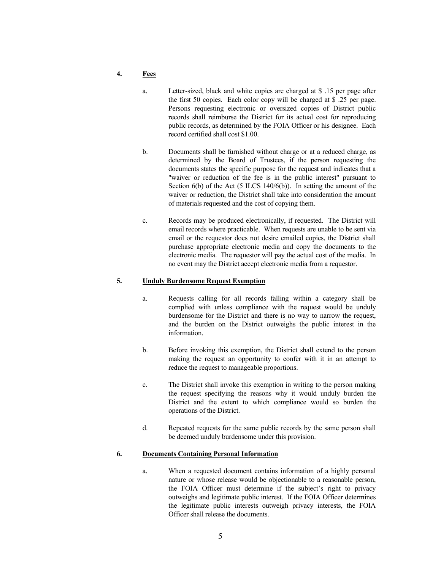- **4. Fees**
	- a. Letter-sized, black and white copies are charged at \$ .15 per page after the first 50 copies. Each color copy will be charged at \$ .25 per page. Persons requesting electronic or oversized copies of District public records shall reimburse the District for its actual cost for reproducing public records, as determined by the FOIA Officer or his designee. Each record certified shall cost \$1.00.
	- b. Documents shall be furnished without charge or at a reduced charge, as determined by the Board of Trustees, if the person requesting the documents states the specific purpose for the request and indicates that a "waiver or reduction of the fee is in the public interest" pursuant to Section 6(b) of the Act (5 ILCS 140/6(b)). In setting the amount of the waiver or reduction, the District shall take into consideration the amount of materials requested and the cost of copying them.
	- c. Records may be produced electronically, if requested. The District will email records where practicable. When requests are unable to be sent via email or the requestor does not desire emailed copies, the District shall purchase appropriate electronic media and copy the documents to the electronic media. The requestor will pay the actual cost of the media. In no event may the District accept electronic media from a requestor.

### **5. Unduly Burdensome Request Exemption**

- a. Requests calling for all records falling within a category shall be complied with unless compliance with the request would be unduly burdensome for the District and there is no way to narrow the request, and the burden on the District outweighs the public interest in the information.
- b. Before invoking this exemption, the District shall extend to the person making the request an opportunity to confer with it in an attempt to reduce the request to manageable proportions.
- c. The District shall invoke this exemption in writing to the person making the request specifying the reasons why it would unduly burden the District and the extent to which compliance would so burden the operations of the District.
- d. Repeated requests for the same public records by the same person shall be deemed unduly burdensome under this provision.

### **6. Documents Containing Personal Information**

a. When a requested document contains information of a highly personal nature or whose release would be objectionable to a reasonable person, the FOIA Officer must determine if the subject's right to privacy outweighs and legitimate public interest. If the FOIA Officer determines the legitimate public interests outweigh privacy interests, the FOIA Officer shall release the documents.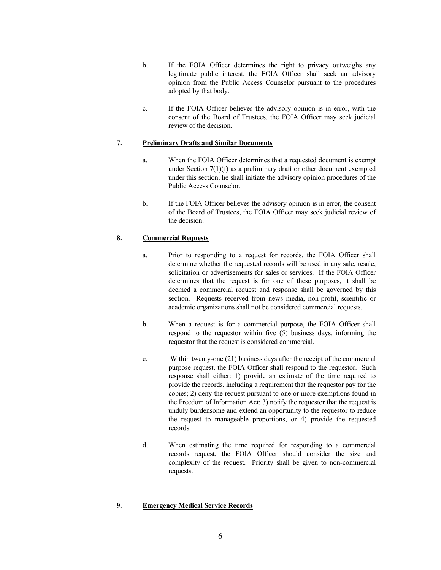- b. If the FOIA Officer determines the right to privacy outweighs any legitimate public interest, the FOIA Officer shall seek an advisory opinion from the Public Access Counselor pursuant to the procedures adopted by that body.
- c. If the FOIA Officer believes the advisory opinion is in error, with the consent of the Board of Trustees, the FOIA Officer may seek judicial review of the decision.

## **7. Preliminary Drafts and Similar Documents**

- a. When the FOIA Officer determines that a requested document is exempt under Section 7(1)(f) as a preliminary draft or other document exempted under this section, he shall initiate the advisory opinion procedures of the Public Access Counselor.
- b. If the FOIA Officer believes the advisory opinion is in error, the consent of the Board of Trustees, the FOIA Officer may seek judicial review of the decision.

# **8. Commercial Requests**

- a. Prior to responding to a request for records, the FOIA Officer shall determine whether the requested records will be used in any sale, resale, solicitation or advertisements for sales or services. If the FOIA Officer determines that the request is for one of these purposes, it shall be deemed a commercial request and response shall be governed by this section. Requests received from news media, non-profit, scientific or academic organizations shall not be considered commercial requests.
- b. When a request is for a commercial purpose, the FOIA Officer shall respond to the requestor within five (5) business days, informing the requestor that the request is considered commercial.
- c. Within twenty-one (21) business days after the receipt of the commercial purpose request, the FOIA Officer shall respond to the requestor. Such response shall either: 1) provide an estimate of the time required to provide the records, including a requirement that the requestor pay for the copies; 2) deny the request pursuant to one or more exemptions found in the Freedom of Information Act; 3) notify the requestor that the request is unduly burdensome and extend an opportunity to the requestor to reduce the request to manageable proportions, or 4) provide the requested records.
- d. When estimating the time required for responding to a commercial records request, the FOIA Officer should consider the size and complexity of the request. Priority shall be given to non-commercial requests.

### **9. Emergency Medical Service Records**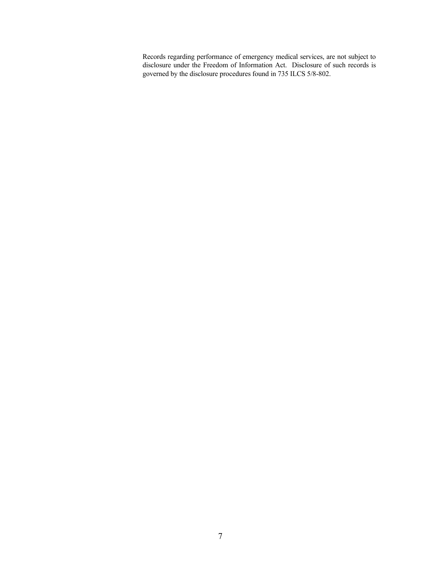Records regarding performance of emergency medical services, are not subject to disclosure under the Freedom of Information Act. Disclosure of such records is governed by the disclosure procedures found in 735 ILCS 5/8-802.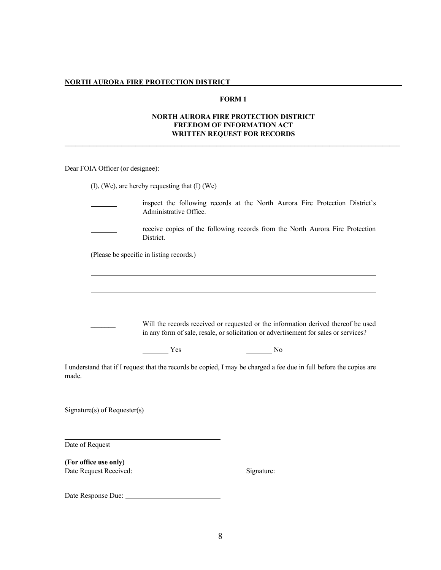### **FORM 1**

## **NORTH AURORA FIRE PROTECTION DISTRICT FREEDOM OF INFORMATION ACT WRITTEN REQUEST FOR RECORDS**

**\_\_\_\_\_\_\_\_\_\_\_\_\_\_\_\_\_\_\_\_\_\_\_\_\_\_\_\_\_\_\_\_\_\_\_\_\_\_\_\_\_\_\_\_\_\_\_\_\_\_\_\_\_\_\_\_\_\_\_\_\_\_\_\_\_\_\_\_\_\_\_\_\_\_\_\_\_\_\_\_\_\_\_\_\_\_\_\_\_\_\_\_\_\_\_**

Dear FOIA Officer (or designee):

(I), (We), are hereby requesting that (I) (We)

inspect the following records at the North Aurora Fire Protection District's Administrative Office.

receive copies of the following records from the North Aurora Fire Protection District.

(Please be specific in listing records.)

| Will the records received or requested or the information derived thereof be used    |
|--------------------------------------------------------------------------------------|
| in any form of sale, resale, or solicitation or advertisement for sales or services? |

Yes No

I understand that if I request that the records be copied, I may be charged a fee due in full before the copies are made.

Signature(s) of Requester(s)

Date of Request

**(For office use only)** Date Request Received: Signature:

Date Response Due: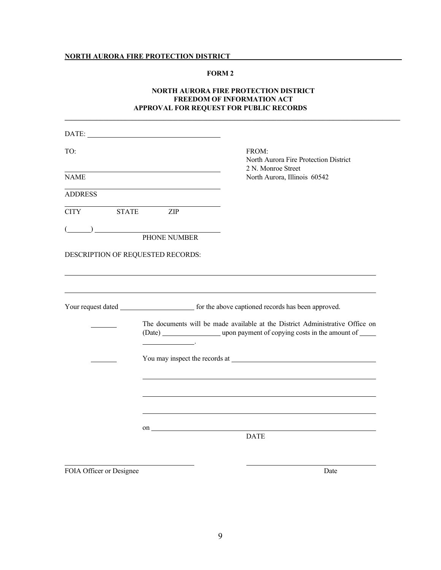## **FORM 2**

# **NORTH AURORA FIRE PROTECTION DISTRICT FREEDOM OF INFORMATION ACT APPROVAL FOR REQUEST FOR PUBLIC RECORDS**

**\_\_\_\_\_\_\_\_\_\_\_\_\_\_\_\_\_\_\_\_\_\_\_\_\_\_\_\_\_\_\_\_\_\_\_\_\_\_\_\_\_\_\_\_\_\_\_\_\_\_\_\_\_\_\_\_\_\_\_\_\_\_\_\_\_\_\_\_\_\_\_\_\_\_\_\_\_\_\_\_\_\_\_\_\_\_\_\_\_\_\_\_\_\_\_**

| TO:                                                                                                                                                                                                                                                                                                                                                                                                  | FROM:<br>North Aurora Fire Protection District<br>2 N. Monroe Street                                                                                              |
|------------------------------------------------------------------------------------------------------------------------------------------------------------------------------------------------------------------------------------------------------------------------------------------------------------------------------------------------------------------------------------------------------|-------------------------------------------------------------------------------------------------------------------------------------------------------------------|
| <b>NAME</b>                                                                                                                                                                                                                                                                                                                                                                                          | North Aurora, Illinois 60542                                                                                                                                      |
| <b>ADDRESS</b>                                                                                                                                                                                                                                                                                                                                                                                       |                                                                                                                                                                   |
| <b>CITY</b><br><b>STATE</b><br>ZIP                                                                                                                                                                                                                                                                                                                                                                   |                                                                                                                                                                   |
| $\overline{a}$ $\overline{a}$ $\overline{a}$ $\overline{a}$ $\overline{a}$ $\overline{a}$ $\overline{a}$ $\overline{a}$ $\overline{a}$ $\overline{a}$ $\overline{a}$ $\overline{a}$ $\overline{a}$ $\overline{a}$ $\overline{a}$ $\overline{a}$ $\overline{a}$ $\overline{a}$ $\overline{a}$ $\overline{a}$ $\overline{a}$ $\overline{a}$ $\overline{a}$ $\overline{a}$ $\overline{$<br>PHONE NUMBER |                                                                                                                                                                   |
| DESCRIPTION OF REQUESTED RECORDS:                                                                                                                                                                                                                                                                                                                                                                    |                                                                                                                                                                   |
|                                                                                                                                                                                                                                                                                                                                                                                                      |                                                                                                                                                                   |
|                                                                                                                                                                                                                                                                                                                                                                                                      |                                                                                                                                                                   |
|                                                                                                                                                                                                                                                                                                                                                                                                      |                                                                                                                                                                   |
| <b>Contract Contract Contract Contract</b>                                                                                                                                                                                                                                                                                                                                                           | The documents will be made available at the District Administrative Office on<br>(Date) ____________________ upon payment of copying costs in the amount of _____ |
|                                                                                                                                                                                                                                                                                                                                                                                                      |                                                                                                                                                                   |
|                                                                                                                                                                                                                                                                                                                                                                                                      |                                                                                                                                                                   |
|                                                                                                                                                                                                                                                                                                                                                                                                      |                                                                                                                                                                   |
|                                                                                                                                                                                                                                                                                                                                                                                                      |                                                                                                                                                                   |
|                                                                                                                                                                                                                                                                                                                                                                                                      |                                                                                                                                                                   |
|                                                                                                                                                                                                                                                                                                                                                                                                      | <b>DATE</b>                                                                                                                                                       |
|                                                                                                                                                                                                                                                                                                                                                                                                      |                                                                                                                                                                   |
| FOIA Officer or Designee                                                                                                                                                                                                                                                                                                                                                                             | Date                                                                                                                                                              |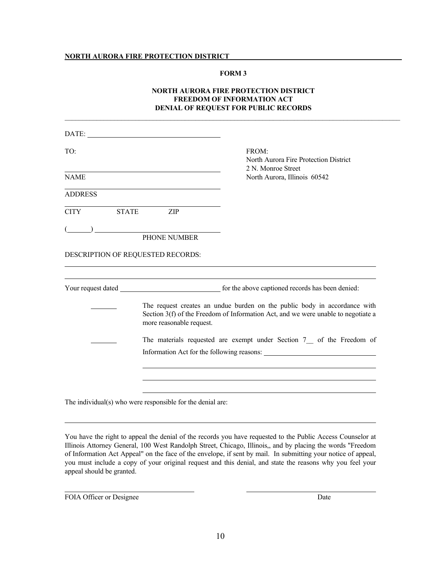### **FORM 3**

# **NORTH AURORA FIRE PROTECTION DISTRICT FREEDOM OF INFORMATION ACT DENIAL OF REQUEST FOR PUBLIC RECORDS**

\_\_\_\_\_\_\_\_\_\_\_\_\_\_\_\_\_\_\_\_\_\_\_\_\_\_\_\_\_\_\_\_\_\_\_\_\_\_\_\_\_\_\_\_\_\_\_\_\_\_\_\_\_\_\_\_\_\_\_\_\_\_\_\_\_\_\_\_\_\_\_\_\_\_\_\_\_\_\_\_\_\_\_\_\_\_\_\_\_\_\_\_\_\_\_

|                    | DATE:                                                      |                                                                                                                                                                                                                                        |
|--------------------|------------------------------------------------------------|----------------------------------------------------------------------------------------------------------------------------------------------------------------------------------------------------------------------------------------|
| TO:<br><b>NAME</b> |                                                            | FROM:<br>North Aurora Fire Protection District<br>2 N. Monroe Street<br>North Aurora, Illinois 60542                                                                                                                                   |
|                    |                                                            |                                                                                                                                                                                                                                        |
| <b>CITY</b>        | <b>STATE</b><br>ZIP                                        |                                                                                                                                                                                                                                        |
|                    |                                                            |                                                                                                                                                                                                                                        |
|                    | PHONE NUMBER                                               |                                                                                                                                                                                                                                        |
|                    | DESCRIPTION OF REQUESTED RECORDS:                          |                                                                                                                                                                                                                                        |
|                    | more reasonable request.                                   | The request creates an undue burden on the public body in accordance with<br>Section 3(f) of the Freedom of Information Act, and we were unable to negotiate a<br>The materials requested are exempt under Section 7 of the Freedom of |
|                    | The individual(s) who were responsible for the denial are: |                                                                                                                                                                                                                                        |

You have the right to appeal the denial of the records you have requested to the Public Access Counselor at Illinois Attorney General, 100 West Randolph Street, Chicago, Illinois,, and by placing the words "Freedom of Information Act Appeal" on the face of the envelope, if sent by mail. In submitting your notice of appeal, you must include a copy of your original request and this denial, and state the reasons why you feel your appeal should be granted.

FOIA Officer or Designee Date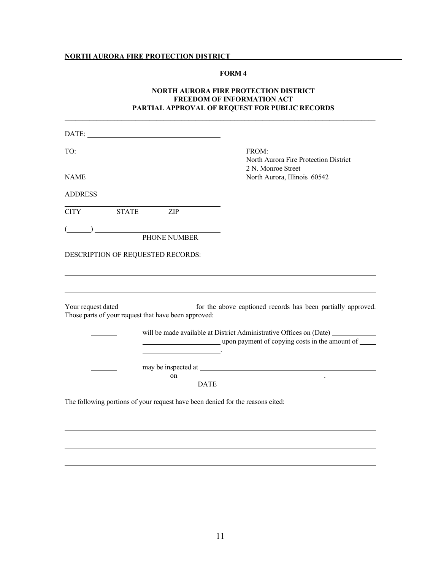## **FORM 4**

# **NORTH AURORA FIRE PROTECTION DISTRICT FREEDOM OF INFORMATION ACT PARTIAL APPROVAL OF REQUEST FOR PUBLIC RECORDS**

\_\_\_\_\_\_\_\_\_\_\_\_\_\_\_\_\_\_\_\_\_\_\_\_\_\_\_\_\_\_\_\_\_\_\_\_\_\_\_\_\_\_\_\_\_\_\_\_\_\_\_\_\_\_\_\_\_\_\_\_\_\_\_\_\_\_\_\_\_\_\_\_\_\_\_\_\_\_\_\_\_\_\_\_\_\_\_\_

| DATE:                                                                          |                                                                                                                                   |
|--------------------------------------------------------------------------------|-----------------------------------------------------------------------------------------------------------------------------------|
| TO:                                                                            | FROM:<br>North Aurora Fire Protection District<br>2 N. Monroe Street                                                              |
| <b>NAME</b>                                                                    | North Aurora, Illinois 60542                                                                                                      |
| <b>ADDRESS</b>                                                                 |                                                                                                                                   |
| CITY STATE ZIP                                                                 |                                                                                                                                   |
| PHONE NUMBER                                                                   |                                                                                                                                   |
| DESCRIPTION OF REQUESTED RECORDS:                                              |                                                                                                                                   |
| Those parts of your request that have been approved:                           |                                                                                                                                   |
| the contract of the contract of the                                            | will be made available at District Administrative Offices on (Date) ___________<br>upon payment of copying costs in the amount of |
|                                                                                | on DATE                                                                                                                           |
| The following portions of your request have been denied for the reasons cited: |                                                                                                                                   |
|                                                                                |                                                                                                                                   |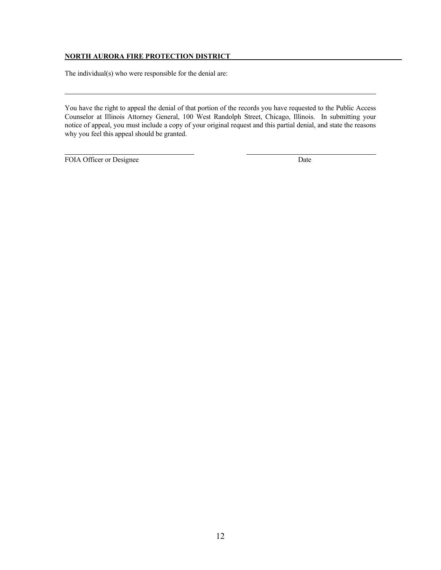The individual(s) who were responsible for the denial are:

You have the right to appeal the denial of that portion of the records you have requested to the Public Access Counselor at Illinois Attorney General, 100 West Randolph Street, Chicago, Illinois. In submitting your notice of appeal, you must include a copy of your original request and this partial denial, and state the reasons why you feel this appeal should be granted.

FOIA Officer or Designee Date